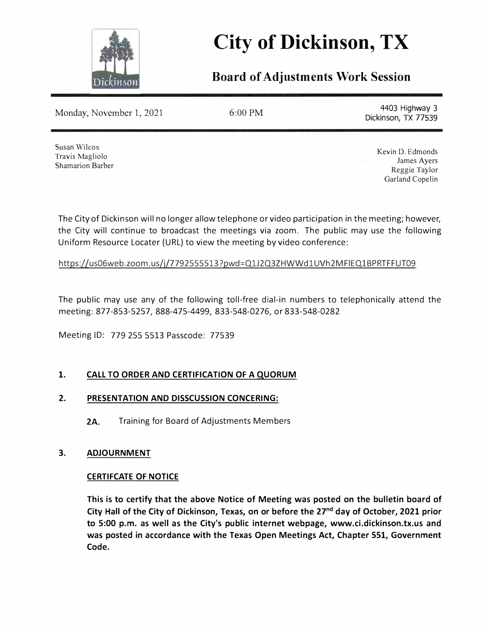

# **City of Dickinson, TX**

## **Board of Adjustments Work Session**

Monday, November 1, 2021

6:00 PM 4403 Highway 3 Dickinson, TX 77539

Susan Wilcox Travis Magliolo Shamarion Barber

Kevin D. Edmonds James Ayers Reggie Taylor Garland Copelin

The City of Dickinson will no longer allow telephone or video participation in the meeting; however, the City will continue to broadcast the meetings via zoom. The public may use the following Uniform Resource Locater (URL) to view the meeting by video conference:

https://us06web.zoom.us/j/7792555513?pwd=Q1J2Q3ZHWWd1UVh2MFIEQ1BPRTFFUT09

The public may use any of the following toll-free dial-in numbers to telephonically attend the meeting: 877-853-5257, 888-475-4499, 833-548-0276, or 833-548-0282

Meeting ID: 779 255 5513 Passcode: 77539

### **1. CALL TO ORDER AND CERTIFICATION OF A QUORUM**

### **2. PRESENTATION AND DISSCUSSION CONCERING:**

**2A.** Training for Board of Adjustments Members

#### **3. ADJOURNMENT**

### **CERTIFCATE OF NOTICE**

**This is to certify that the above Notice of Meeting was posted on the bulletin board of City Hall of the City of Dickinson, Texas, on or before the 27nd day of October, 2021 prior to 5:00 p.m. as well as the City's public internet webpage, www.ci.dickinson.tx.us and was posted in accordance with the Texas Open Meetings Act, Chapter 551, Government Code.**